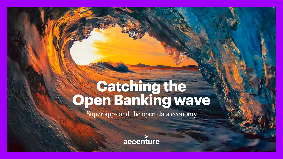# **Catching the Catching the Open Banking wave**

Super apps and the open data economy

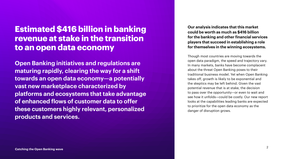## **Estimated \$416 billion in banking revenue at stake in the transition to an open data economy**

**Open Banking initiatives and regulations are maturing rapidly, clearing the way for a shift towards an open data economy—a potentially vast new marketplace characterized by platforms and ecosystems that take advantage of enhanced flows of customer data to offer these customers highly relevant, personalized products and services.** 

**Our analysis indicates that this market could be worth as much as \$416 billion for the banking and other financial services players that succeed in establishing a role for themselves in the winning ecosystems.** 

Though most countries are moving towards the open data paradigm, the speed and trajectory vary. In many markets, banks have become complacent about the threat Open Banking poses to their traditional business model. Yet when Open Banking takes off, growth is likely to be exponential and the skeptics may be left behind. Given the vast potential revenue that is at stake, the decision to pass over the opportunity—or even to wait and see how it unfolds—could be costly. Our new report looks at the capabilities leading banks are expected to prioritize for the open data economy as the danger of disruption grows.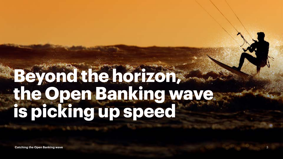## **Beyond the horizon, the Open Banking wave is picking up speed**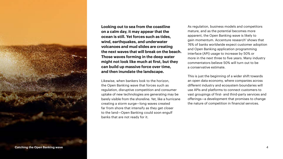

**Looking out to sea from the coastline on a calm day, it may appear that the ocean is still. Yet forces such as tides, wind, earthquakes, and underwater volcanoes and mud slides are creating the next waves that will break on the beach. Those waves forming in the deep water might not look like much at first, but they can build up massive force over time, and then inundate the landscape.** 

Likewise, when bankers look to the horizon, the Open Banking wave that forces such as regulation, disruptive competition and consumer uptake of new technologies are generating may be barely visible from the shoreline. Yet, like a hurricane creating a storm surge—long waves created far from shore that intensify as they get closer to the land—Open Banking could soon engulf banks that are not ready for it.

As regulation, business models and competitors mature, and as the potential becomes more apparent, the Open Banking wave is likely to gain momentum. Accenture research<sup>1</sup> shows that 76% of banks worldwide expect customer adoption and Open Banking application programming interface (API) usage to increase by 50% or more in the next three to five years. Many industry commentators believe 50% will turn out to be a conservative estimate.

This is just the beginning of a wider shift towards an open data economy, where companies across different industry and ecosystem boundaries will use APIs and platforms to connect customers to vast groupings of first- and third-party services and offerings—a development that promises to change the nature of competition in financial services.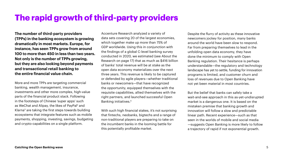## **The rapid growth of third-party providers**

**The number of third-party providers (TPPs) in the banking ecosystem is growing dramatically in most markets. Europe, for instance, has seen TPPs grow from around 100 to more than 450 in less than two years. Not only is the number of TPPs growing, but they are also looking beyond payments and transactional retail banking to the entire financial value chain.** 

More and more TPPs are targeting commercial banking, wealth management, insurance, investments and other more complex, high-value parts of the financial product stack. Following in the footsteps of Chinese 'super apps' such as WeChat and Alipay, the likes of PayPal<sup>2</sup> and Klarna<sup>3</sup> are taking the first steps towards building ecosystems that integrate features such as mobile payments, shopping, investing, savings, budgeting and crypto-capabilities on a single platform.

Accenture Research analyzed a variety of data sets covering 20 of the largest economies, which together make up more than 75% of GDP worldwide. Using this in conjunction with the findings of a global C-level banking survey conducted in 2020, we estimated (see About the Research on page 17) that as much as \$416 billion of banks' total revenue will be at stake as the open data economy materializes over the next three years. This revenue is likely to be captured or defended by agile players—whether traditional banks or newcomers—that have recognized the opportunity, equipped themselves with the requisite capabilities, allied themselves with the right partners, and launched successful Open Banking initiatives.4

With such high financial stakes, it's not surprising that fintechs, neobanks, bigtechs and a range of non-traditional players are preparing to take on the incumbent banks in the looming battle for this potentially profitable market.

Despite the flurry of activity as these innovative newcomers jockey for position, many banks around the world have been slow to respond. Far from preparing themselves to lead in the unfolding open data economy, they have done the minimum to comply with Open Banking regulation. Their hesitance is perhaps understandable—the regulatory and technology landscape has yet to settle, funding for innovation programs is limited, and customer churn and loss of revenues due to Open Banking have not yet been material in most countries.

But the belief that banks can safely take a wait-and-see approach in this as-yet-undisrupted market is a dangerous one. It is based on the mistaken premise that banking growth and innovation will follow a slow and predictable linear path. Recent experience—such as that seen in the worlds of mobile and social media —suggests Open Banking is more likely to follow a trajectory of rapid if not exponential growth.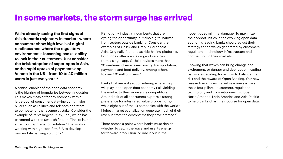## **In some markets, the storm surge has arrived**

**We're already seeing the first signs of this dramatic trajectory in markets where consumers show high levels of digital readiness and where the regulatory environment is loosening banks' ability to lock in their customers. Just consider the brisk adoption of super-apps in Asia, or the rapid uptake of payments app Venmo in the US—from 10 to 40 million users in just two years.5** 

A critical enabler of the open data economy is the blurring of boundaries between industries. This makes it easier for any company with a large pool of consumer data—including major billers such as utilities and telecom operators to compete for the revenue at stake. Consider the example of Italy's largest utility, Enel, which has partnered with the Swedish fintech, Tink, to launch an account aggregation solution.6 Enel is also working with high-tech firm SIA to develop new mobile banking solutions.7

It's not only industry incumbents that are eyeing the opportunity, but also digital natives from sectors outside banking. Consider the examples of GoJek and Grab in Southeast Asia. Originally founded as ride-hailing platforms, both today offer a wide range of services from a single app. GoJek provides more than 20 on-demand services—covering transportation, payments and food delivery, among others to over 170 million users.<sup>8</sup>

Banks that are not yet considering where they will play in the open data economy risk yielding the market to their more agile competitors. Around half of all consumers express a strong preference for integrated value propositions,<sup>9</sup> while eight out of the 10 companies with the world's highest market capitalization generate much of their revenue from the ecosystems they have created.10

There comes a point where banks must decide whether to catch the wave and use its energy for forward propulsion, or ride it out in the

hope it does minimal damage. To maximize their opportunities in the evolving open data economy, leading banks should adjust their strategy to the waves generated by customers, regulators, technology infrastructure and competition in their markets.

Knowing that waves can bring change and excitement, or danger and destruction, leading banks are deciding today how to balance the risk and the reward of Open Banking. Our new research examines market readiness across these four pillars—customers, regulation, technology and competition—in Europe, North America, Latin America and Asia-Pacific to help banks chart their course for open data.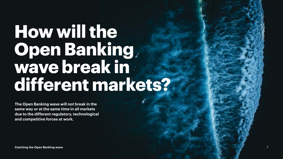## **How will the Open Banking wave break in different markets?**

**The Open Banking wave will not break in the same way or at the same time in all markets due to the different regulatory, technological and competitive forces at work.**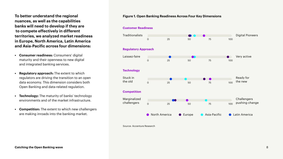**To better understand the regional nuances, as well as the capabilities banks will need to develop if they are to compete effectively in different territories, we analyzed market readiness in Europe, North America, Latin America and Asia-Pacific across four dimensions:**

- **• Consumer readiness:** Consumers' digital maturity and their openness to new digital and integrated banking services.
- **• Regulatory approach:** The extent to which regulators are driving the transition to an open data economy. This dimension considers both Open Banking and data-related regulation.
- **• Technology:** The maturity of banks' technology environments and of the market infrastructure.
- **• Competition:** The extent to which new challengers are making inroads into the banking market.

#### **Figure 1. Open Banking Readiness Across Four Key Dimensions**

#### **Customer Readiness**



Source: Accenture Research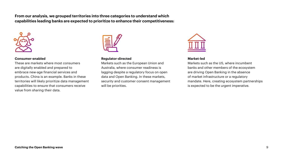**From our analysis, we grouped territories into three categories to understand which capabilities leading banks are expected to prioritize to enhance their competitiveness:**



#### **Consumer-enabled**

These are markets where most consumers are digitally enabled and prepared to embrace new-age financial services and products. China is an example. Banks in these territories will likely prioritize data management capabilities to ensure that consumers receive value from sharing their data.



#### **Regulator-directed**

Markets such as the European Union and Australia, where consumer readiness is lagging despite a regulatory focus on open data and Open Banking. In these markets, security and customer consent management will be priorities.



#### **Market-led**

Markets such as the US, where incumbent banks and other members of the ecosystem are driving Open Banking in the absence of market infrastructure or a regulatory mandate. Here, creating ecosystem partnerships is expected to be the urgent imperative.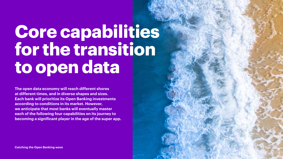## **Core capabilities for the transition to open data**

**The open data economy will reach different shores at different times, and in diverse shapes and sizes. Each bank will prioritize its Open Banking investments according to conditions in its market. However, we anticipate that most banks will eventually master each of the following four capabilities on its journey to becoming a significant player in the age of the super app.**

**Catching the Open Banking wave**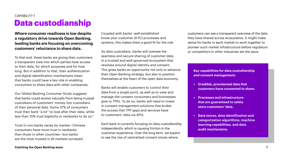## **Data custodianship**  CAPABILITY 1

**Where consumer readiness is low despite a regulatory drive towards Open Banking, leading banks are focusing on overcoming customers' reluctance to share data.** 

To that end, these banks are giving their customers a transparent view into which parties have access to their data, for which purposes and for how long. But in addition to that, their authentication and digital identification mechanisms mean that banks could have a key role in enabling consumers to share data with other companies.

Our Global Banking Consumer Study suggests that banks could evolve naturally from being trusted custodians of customers' money into custodians of their personal data. Some 37% of consumers trust their bank "a lot" to look after their data, while less than 10% trust bigtechs or neobanks to do so.<sup>11</sup>

Trust in non-banks varies by market—Chinese consumers have more trust in neobanks than those in other countries—but banks are the most trusted in all markets surveyed.

Coupled with banks' well-established know-your-customer (KYC) processes and systems, this makes them a good fit for the role.

As data custodians, banks will oversee the seamless and secure sharing of customer data in a trusted and well-governed ecosystem that revolves around digital identity and consent. This gives banks an opportunity not only to advance their Open Banking strategy, but also to position themselves at the heart of the open data economy.

Banks will enable customers to control their data from a single point, as well as to view and manage the consent consumers and businesses give to TPPs. To do so, banks will need to invest in consent management solutions that broker the access that TPP apps and services have to customers' data via APIs.

Each bank is currently focusing on data custodianship independently, which is causing friction in the customer experience. Over the long term, we expect to see the rise of centralized consent stores where

customers can see a transparent overview of the data they have shared across ecosystems. It might make sense for banks in each market to work together to pioneer such market infrastructure before regulators or competitors in other industries set the pace.

**Key capabilities for data custodianship and consent management:**

- **• Credible, provisioned data that customers have consented to share.**
- **• Processes and infrastructure that are guaranteed to safely store customers' data.**
- **• Data stores, data identification and categorization algorithms, machine learning capabilities, and data audit mechanisms.**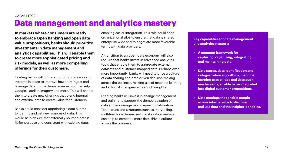#### CAPABILITY 2

## **Data management and analytics mastery**

**In markets where consumers are ready to embrace Open Banking and open data value propositions, banks should prioritize investments in data management and analytics capabilities. This will enable them to create more sophisticated pricing and risk models, as well as more compelling offerings for their customers.** 

Leading banks will focus on putting processes and systems in place to improve how they ingest and leverage data from external sources, such as Yelp, Google, satellite imagery and more. This will enable them to create new offerings that blend internal and external data to create value for customers.

Banks could consider appointing a data hunter to identify and vet new sources of data. This would help ensure that externally sourced data is fit-for-purpose and consistent with existing data,

enabling easier integration. This role could span organizational silos to ensure that data is shared enterprise-wide and to negotiate more favorable terms with data providers.

A transition to an open data economy will also require that banks invest in advanced analytics tools that enable them to aggregate external datasets and customer-mapped data. Perhaps even more importantly, banks will need to drive a culture of data sharing and data-driven decision-making across the business, making use of machine learning and artificial intelligence to enrich insights.

Leading banks will invest in change management and training to support the democratization of data and encourage peer-to-peer collaboration. Techniques and structures such as storytelling, multifunctional teams and collaboration metrics can help to cement a more data-driven culture across the business.

**Key capabilities for data management and analytics mastery:**

- **• A common framework for capturing, organizing, integrating and maintaining data.**
- **• Data stores, data identification and categorization algorithms, machine learning capabilities and data audit mechanisms, all able to be integrated into digital customer propositions.**
- **• Data catalogs that enable people across internal silos to discover and use data and the insights it enables.**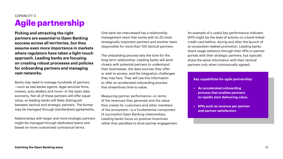## **Agile partnership**  CAPABILITY 3

**Picking and attracting the right partners are essential to Open Banking success across all territories, but they assume even more importance in markets where regulators have taken a light-touch approach. Leading banks are focusing on creating robust processes and policies for onboarding partners and managing vast networks.** 

Banks may need to manage hundreds of partners —such as real-estate agents, legal-services firms, movers, auto dealers and more—in the open data economy. Not all of these partners will offer equal value, so leading banks will likely distinguish between tactical and strategic partners. The former may be managed through standardized agreements.

Relationships with larger and more strategic partners might be managed through dedicated teams and based on more customized contractual terms.

One bank we interviewed has a relationship management team that works with its 20 most strategically important partners and another team responsible for more than 100 tactical partners.

The onboarding process sets the tone for the long-term relationship. Leading banks will work closely with potential partners to understand their businesses, the data sources they offer or wish to access, and the integration challenges they may face. They will use this information to offer an accelerated onboarding process that streamlines time-to-value.

Measuring partner performance—in terms of the revenues they generate and the value they create for customers and other members of the ecosystem—is a fundamental component of successful Open Banking relationships. Leading banks focus on positive incentives rather than penalties to drive partner engagement. An example of a useful key performance indicator (KPI) might be the level of activity on a bank-linked credit card before, during and after the launch of an ecosystem-related promotion. Leading banks share usage statistics through their APIs or partner portals with their strategic partners, but typically share the same information with their tactical partners only when contractually agreed.

#### **Key capabilities for agile partnership:**

- **• An accelerated onboarding process that enables partners to rapidly start delivering value.**
- **• KPIs such as revenue per partner and partner satisfaction.**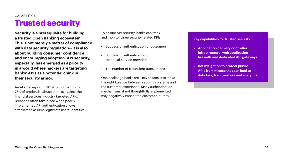## **Trusted security**  CAPABILITY 4

**Security is a prerequisite for building a trusted Open Banking ecosystem. This is not merely a matter of compliance with data security regulation—it is also about building consumer confidence and encouraging adoption. API security, especially, has emerged as a priority in a world where hackers are targeting banks' APIs as a potential chink in their security armor.** 

An Akamai report in 2019 found that up to 75% of credential abuse attacks against the financial services industry targeted APIs.<sup>12</sup> Breaches often take place when poorly implemented API authentication allows attackers to assume legitimate users' identities.

To ensure API security, banks can track and monitor three security related KPIs:

- **•** Successful authentication of customers.
- **•** Successful authentication of technical-service providers.
- **•** The number of fraudulent transactions.

One challenge banks are likely to face is to strike the right balance between security concerns and the customer experience. Many authentication mechanisms, if not thoughtfully implemented, may negatively impact the customer journey.

**Key capabilities for trusted security:**

- **• Application delivery controller infrastructure, web application firewalls and dedicated API gateways.**
- **• Bot mitigation to protect public APIs from misuse that can lead to data loss, fraud and skewed analytics.**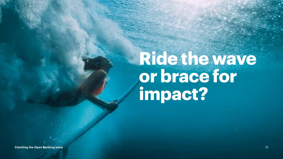## **Ride the wave or brace for impact?**

**Catching the Open Banking wave** 15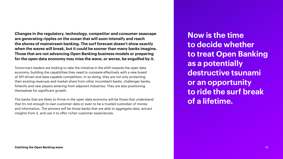**Changes in the regulatory, technology, competitor and consumer seascape are generating ripples on the ocean that will soon intensify and reach the shores of mainstream banking. The surf forecast doesn't show exactly when the waves will break, but it could be sooner than many banks imagine. Those that are not advancing Open Banking business models or preparing for the open data economy may miss the wave, or worse, be engulfed by it.** 

Tomorrow's leaders are looking to take the initiative in the shift towards the open data economy, building the capabilities they need to compete effectively with a new breed of API-driven and data-capable competitors. In so doing, they are not only protecting their existing revenues and market share from other incumbent banks, challenger banks, fintechs and new players entering from adjacent industries. They are also positioning themselves for significant growth.

The banks that are likely to thrive in the open data economy will be those that understand that it's not enough to own customer data or even to be a trusted custodian of money and information. The winners will be those banks that are able to aggregate data, extract insights from it, and use it to offer richer customer experiences.

**Now is the time to decide whether to treat Open Banking as a potentially destructive tsunami or an opportunity to ride the surf break of a lifetime.**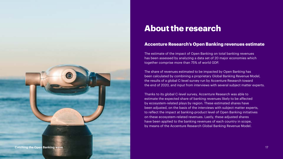

## **About the research**

### **Accenture Research's Open Banking revenues estimate**

The estimate of the impact of Open Banking on total banking revenues has been assessed by analyzing a data set of 20 major economies which together comprise more than 75% of world GDP.

The share of revenues estimated to be impacted by Open Banking has been calculated by combining a proprietary Global Banking Revenue Model, the results of a global C-level survey run by Accenture Research toward the end of 2020, and input from interviews with several subject matter experts.

Thanks to its global C-level survey, Accenture Research was able to estimate the expected share of banking revenues likely to be affected by ecosystem-related plays by region. These estimated shares have been adjusted, on the basis of the interviews with subject matter experts, to reflect the impact at banking-product level of Open Banking initiatives on these ecosystem-related revenues. Lastly, these adjusted shares have been applied to the banking revenues of each country in scope, by means of the Accenture Research Global Banking Revenue Model.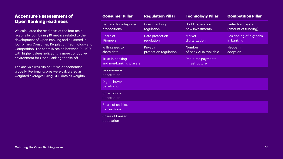### **Accenture's assessment of Open Banking readiness**

We calculated the readiness of the four main regions by combining 19 metrics related to the development of Open Banking and clustered in four pillars: Consumer, Regulation, Technology and Competition. The score is scaled between 0 – 100, with higher values indicating a more conducive environment for Open Banking to take-off.

The analysis was run on 22 major economies globally. Regional scores were calculated as weighted averages using GDP data as weights.

| <b>Consumer Pillar</b>                      | <b>Regulation Pillar</b>          | <b>Technology Pillar</b>                | <b>Competition Pillar</b>                |
|---------------------------------------------|-----------------------------------|-----------------------------------------|------------------------------------------|
| Demand for integrated<br>propositions       | <b>Open Banking</b><br>regulation | % of IT spend on<br>new investments     | Fintech ecosystem<br>(amount of funding) |
| Share of<br>'Pioneers'                      | Data protection<br>regulation     | <b>Market</b><br>digitalization         | Positioning of bigtechs<br>in banking    |
| Willingness to<br>share data                | Privacy<br>protection regulation  | <b>Number</b><br>of bank APIs available | Neobank<br>adoption                      |
| Trust in banking<br>and non-banking players |                                   | Real-time payments<br>infrastructure    |                                          |
| E-commerce<br>penetration                   |                                   |                                         |                                          |
| Digital buyer<br>penetration                |                                   |                                         |                                          |
| Smartphone<br>penetration                   |                                   |                                         |                                          |
| Share of cashless<br>transactions           |                                   |                                         |                                          |
| Share of banked<br>population               |                                   |                                         |                                          |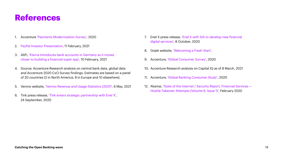## **References**

- 1. Accenture '[Payments Moderni](https://www.accenture.com/us-en/insights/banking/payments-modernization-playing-long-game)zation Survey', 2020
- 2. [PayPal Investor Presentation](http://investor.pypl.com/news-and-events/events/event-details/2021/PayPals-2021-Investor-Day/ ), 11 February, 2021
- 3. AltFi, '[Klarna introduces bank accounts in Germany as it moves](http://www.altfi.com/article/7562_klarna-introduces-bank-accounts-in-germany-as-it-moves-closer-to-building-a-financial-super-app )  [closer to building a financial super app](http://www.altfi.com/article/7562_klarna-introduces-bank-accounts-in-germany-as-it-moves-closer-to-building-a-financial-super-app )', 10 February, 2021
- 4. Source: Accenture Research analysis on central bank data, global data and Accenture 2020 CxO Survey findings. Estimates are based on a panel of 20 countries (2 in North America, 8 in Europe and 10 elsewhere).
- 5. Venmo website, ['Venmo Revenue and Usage Statistics \(2021\)](http://www.businessofapps.com/data/venmo-statistics/)', 6 May, 2021
- 6. Tink press release, ['Tink enters strategic partnership with Enel X'](http://tink.com/press/tink-enelx-partnership/ 
), 24 September, 2020
- 7. Enel X press release, ['Enel X with SIA to de](http://www.enelx.com/en/news-and-media/press/2020/10/enel-x-with-sia-to-develop-new-financial-digital-services )velop new financial [digital services](http://www.enelx.com/en/news-and-media/press/2020/10/enel-x-with-sia-to-develop-new-financial-digital-services )', 8 October, 2020
- 8. Gojek website, 'Welcom[ing a Fresh Start](http://www.gojek.com/about/Source: https://tink.com/press/tink-enelx-partnership/)'.
- 9. Accenture, ['Global Consumer Survey](http://www.accenture.com/us-en/insights/banking/consumer-study-making-digital-banking-more-human )', 2020
- 10. Accenture Research analysis on Capital IQ as of 8 March, 2021
- 11. Accenture, ['Global Banking Consumer Study](http://www.accenture.com/us-en/insights/banking/consumer-study-making-digital-banking-more-human)', 2020
- 12. Akamai, '[State of the Internet / Security Report, F](https://www.akamai.com/it/it/multimedia/documents/state-of-the-internet/soti-security-financial-services-hostile-takeover-attempts-report-2020.pdf)inancial Services [Hostile Takeover Attempts \(Volume 6, Issue 1\)](https://www.akamai.com/it/it/multimedia/documents/state-of-the-internet/soti-security-financial-services-hostile-takeover-attempts-report-2020.pdf)', February 2020